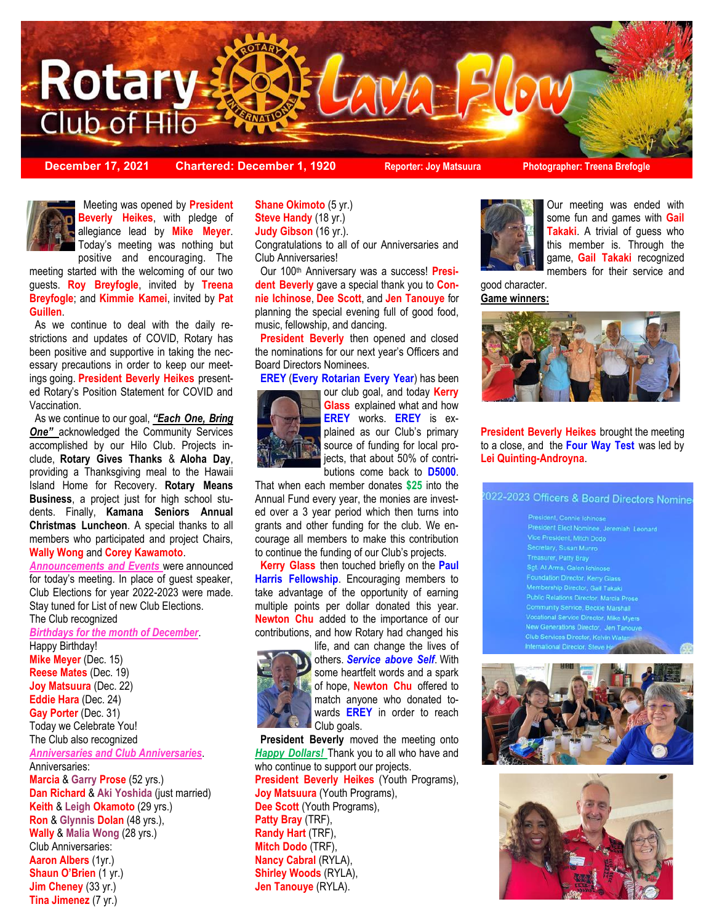

**December 17, 2021 Chartered: December 1, 1920 Reporter: Joy Matsuura Photographer: Treena Brefogle**



 positive and encouraging. The Meeting was opened by **President Beverly Heikes**, with pledge of allegiance lead by **Mike Meyer**. Today's meeting was nothing but

meeting started with the welcoming of our two guests. **Roy Breyfogle**, invited by **Treena Breyfogle**; and **Kimmie Kamei**, invited by **Pat Guillen**.

 As we continue to deal with the daily restrictions and updates of COVID, Rotary has been positive and supportive in taking the necessary precautions in order to keep our meetings going. **President Beverly Heikes** presented Rotary's Position Statement for COVID and Vaccination.

 As we continue to our goal, *"Each One, Bring*  **One"** acknowledged the Community Services accomplished by our Hilo Club. Projects include, **Rotary Gives Thanks** & **Aloha Day**, providing a Thanksgiving meal to the Hawaii Island Home for Recovery. **Rotary Means Business**, a project just for high school students. Finally, **Kamana Seniors Annual Christmas Luncheon**. A special thanks to all members who participated and project Chairs, **Wally Wong** and **Corey Kawamoto**.

*Announcements and Events* were announced for today's meeting. In place of guest speaker, Club Elections for year 2022-2023 were made. Stay tuned for List of new Club Elections. The Club recognized

*Birthdays for the month of December*.

Happy Birthday! **Mike Meyer (Dec. 15) Reese Mates** (Dec. 19) **Joy Matsuura** (Dec. 22) **Eddie Hara** (Dec. 24) **Gay Porter** (Dec. 31) Today we Celebrate You! The Club also recognized *Anniversaries and Club Anniversaries*. Anniversaries: **Marcia** & **Garry Prose** (52 yrs.) **Dan Richard** & **Aki Yoshida** (just married) **Keith** & **Leigh Okamoto** (29 yrs.) **Ron** & **Glynnis Dolan** (48 yrs.), **Wally** & **Malia Wong** (28 yrs.) Club Anniversaries: **Aaron Albers** (1yr.) **Shaun O'Brien** (1 yr.) **Jim Cheney** (33 yr.) **Tina Jimenez** (7 yr.)

**Shane Okimoto** (5 yr.) **Steve Handy** (18 yr.) **Judy Gibson** (16 yr.). Congratulations to all of our Anniversaries and

Club Anniversaries!

 Our 100th Anniversary was a success! **President Beverly** gave a special thank you to **Connie Ichinose**, **Dee Scott**, and **Jen Tanouye** for planning the special evening full of good food, music, fellowship, and dancing.

 **President Beverly** then opened and closed the nominations for our next year's Officers and Board Directors Nominees.

**EREY** (**Every Rotarian Every Year**) has been

our club goal, and today **Kerry Glass** explained what and how **EREY** works. **EREY** is explained as our Club's primary source of funding for local projects, that about 50% of contributions come back to **D5000**.

That when each member donates **\$25** into the Annual Fund every year, the monies are invested over a 3 year period which then turns into grants and other funding for the club. We encourage all members to make this contribution to continue the funding of our Club's projects.

 **Kerry Glass** then touched briefly on the **Paul Harris Fellowship**. Encouraging members to take advantage of the opportunity of earning multiple points per dollar donated this year. **Newton Chu** added to the importance of our contributions, and how Rotary had changed his



life, and can change the lives of others. *Service above Self*. With some heartfelt words and a spark of hope, **Newton Chu** offered to match anyone who donated towards **EREY** in order to reach Club goals.

 **President Beverly** moved the meeting onto *Happy Dollars!* Thank you to all who have and who continue to support our projects. **President Beverly Heikes** (Youth Programs), **Joy Matsuura** (Youth Programs), **Dee Scott** (Youth Programs), **Patty Bray** (TRF), **Randy Hart** (TRF), **Mitch Dodo** (TRF), **Nancy Cabral** (RYLA), **Shirley Woods** (RYLA), **Jen Tanouye** (RYLA).



Our meeting was ended with some fun and games with **Gail Takaki**. A trivial of guess who this member is. Through the game, **Gail Takaki** recognized members for their service and

good character. **Game winners:**



**President Beverly Heikes** brought the meeting to a close, and the **Four Way Test** was led by **Lei Quinting-Androyna**.

#### 022-2023 Officers & Board Directors Nomine

lic Relations Director, Marcia Prose unity Service, Beckie Marshall lonal Service Director, Mike Myers Generations Director